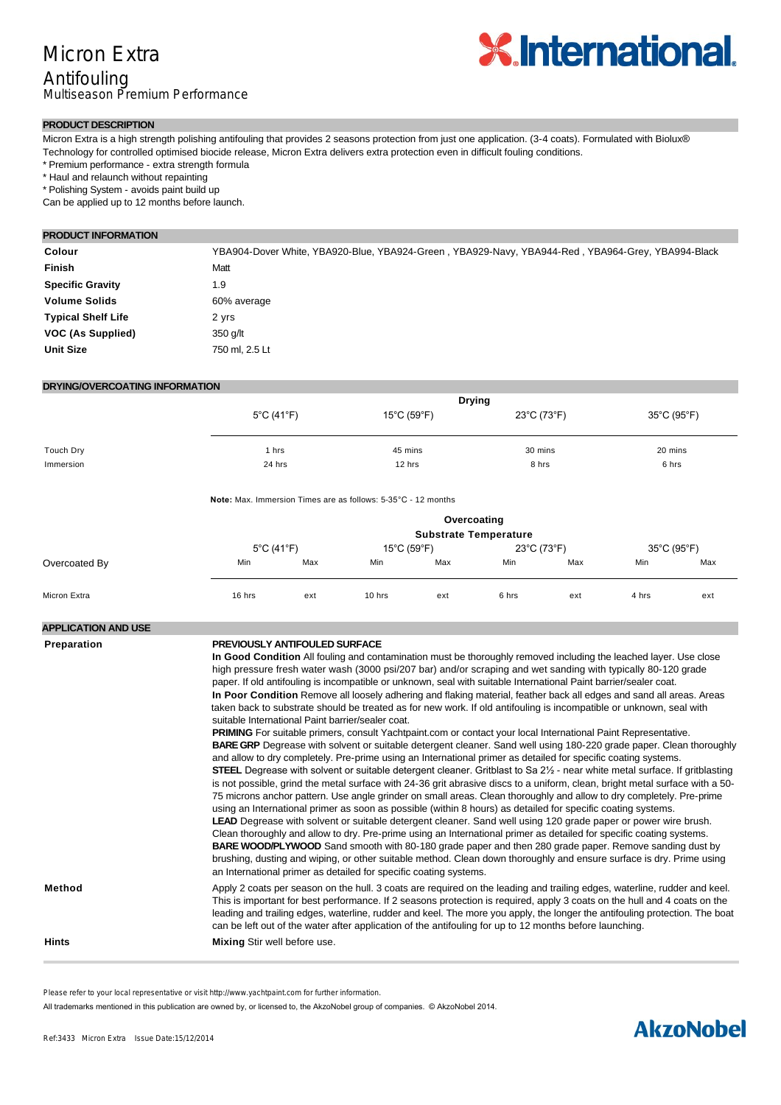

#### **PRODUCT DESCRIPTION**

Micron Extra is a high strength polishing antifouling that provides 2 seasons protection from just one application. (3-4 coats). Formulated with Biolux® Technology for controlled optimised biocide release, Micron Extra delivers extra protection even in difficult fouling conditions.

\* Premium performance - extra strength formula

\* Haul and relaunch without repainting

\* Polishing System - avoids paint build up

Can be applied up to 12 months before launch.

#### **PRODUCT INFORMATION**

| YBA904-Dover White, YBA920-Blue, YBA924-Green, YBA929-Navy, YBA944-Red, YBA964-Grey, YBA994-Black |
|---------------------------------------------------------------------------------------------------|
| Matt                                                                                              |
| 1.9                                                                                               |
| 60% average                                                                                       |
| 2 yrs                                                                                             |
| 350 g/lt                                                                                          |
| 750 ml. 2.5 Lt                                                                                    |
|                                                                                                   |

#### **DRYING/OVERCOATING INFORMATION**

|           | <b>Drying</b>                   |                                  |             |             |  |
|-----------|---------------------------------|----------------------------------|-------------|-------------|--|
|           | $5^{\circ}$ C (41 $^{\circ}$ F) | $15^{\circ}$ C (59 $^{\circ}$ F) | 23°C (73°F) | 35°C (95°F) |  |
|           |                                 |                                  |             |             |  |
| Touch Dry | hrs                             | 45 mins                          | 30 mins     | 20 mins     |  |
|           |                                 |                                  |             |             |  |
| Immersion | 24 hrs                          | 12 hrs                           | 8 hrs       | 6 hrs       |  |

**Note:** Max. Immersion Times are as follows: 5-35°C - 12 months

|               |                                 |     |                                  | Overcoating<br><b>Substrate Temperature</b> |             |     |             |     |
|---------------|---------------------------------|-----|----------------------------------|---------------------------------------------|-------------|-----|-------------|-----|
|               | $5^{\circ}$ C (41 $^{\circ}$ F) |     | $15^{\circ}$ C (59 $^{\circ}$ F) |                                             | 23°C (73°F) |     | 35°C (95°F) |     |
| Overcoated By | Min                             | Max | Min                              | Max                                         | Min         | Max | Min         | Max |
| Micron Extra  | 16 hrs                          | ext | 10 hrs                           | ext                                         | 6 hrs       | ext | 4 hrs       | ext |

#### **APPLICATION AND USE**

#### **Preparation PREVIOUSLY ANTIFOULED SURFACE**

**In Good Condition** All fouling and contamination must be thoroughly removed including the leached layer. Use close high pressure fresh water wash (3000 psi/207 bar) and/or scraping and wet sanding with typically 80-120 grade paper. If old antifouling is incompatible or unknown, seal with suitable International Paint barrier/sealer coat. **In Poor Condition** Remove all loosely adhering and flaking material, feather back all edges and sand all areas. Areas taken back to substrate should be treated as for new work. If old antifouling is incompatible or unknown, seal with suitable International Paint barrier/sealer coat.

**PRIMING** For suitable primers, consult Yachtpaint.com or contact your local International Paint Representative. **BARE GRP** Degrease with solvent or suitable detergent cleaner. Sand well using 180-220 grade paper. Clean thoroughly and allow to dry completely. Pre-prime using an International primer as detailed for specific coating systems. **STEEL** Degrease with solvent or suitable detergent cleaner. Gritblast to Sa 2½ - near white metal surface. If gritblasting is not possible, grind the metal surface with 24-36 grit abrasive discs to a uniform, clean, bright metal surface with a 50- 75 microns anchor pattern. Use angle grinder on small areas. Clean thoroughly and allow to dry completely. Pre-prime using an International primer as soon as possible (within 8 hours) as detailed for specific coating systems. **LEAD** Degrease with solvent or suitable detergent cleaner. Sand well using 120 grade paper or power wire brush. Clean thoroughly and allow to dry. Pre-prime using an International primer as detailed for specific coating systems. **BARE WOOD/PLYWOOD** Sand smooth with 80-180 grade paper and then 280 grade paper. Remove sanding dust by brushing, dusting and wiping, or other suitable method. Clean down thoroughly and ensure surface is dry. Prime using an International primer as detailed for specific coating systems.

**Method** Apply 2 coats per season on the hull. 3 coats are required on the leading and trailing edges, waterline, rudder and keel. This is important for best performance. If 2 seasons protection is required, apply 3 coats on the hull and 4 coats on the leading and trailing edges, waterline, rudder and keel. The more you apply, the longer the antifouling protection. The boat can be left out of the water after application of the antifouling for up to 12 months before launching.

**Hints Mixing** Stir well before use.

Please refer to your local representative or visit http://www.yachtpaint.com for further information.

All trademarks mentioned in this publication are owned by, or licensed to, the AkzoNobel group of companies. © AkzoNobel 2014.